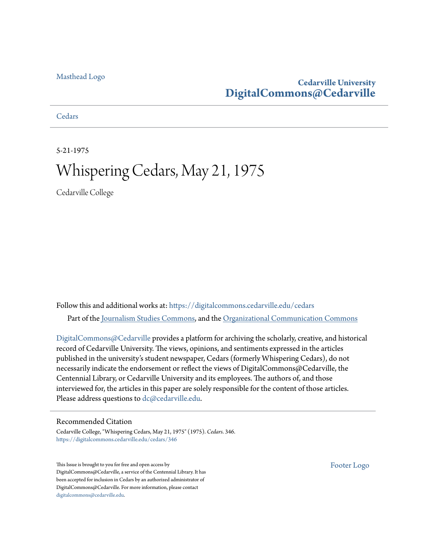### **Cedarville University [DigitalCommons@Cedarville](https://digitalcommons.cedarville.edu?utm_source=digitalcommons.cedarville.edu%2Fcedars%2F346&utm_medium=PDF&utm_campaign=PDFCoverPages)**

**[Cedars](https://digitalcommons.cedarville.edu/cedars?utm_source=digitalcommons.cedarville.edu%2Fcedars%2F346&utm_medium=PDF&utm_campaign=PDFCoverPages)** 

5-21-1975

# Whispering Cedars, May 21, 1975

Cedarville College

Follow this and additional works at: [https://digitalcommons.cedarville.edu/cedars](https://digitalcommons.cedarville.edu/cedars?utm_source=digitalcommons.cedarville.edu%2Fcedars%2F346&utm_medium=PDF&utm_campaign=PDFCoverPages) Part of the [Journalism Studies Commons](http://network.bepress.com/hgg/discipline/333?utm_source=digitalcommons.cedarville.edu%2Fcedars%2F346&utm_medium=PDF&utm_campaign=PDFCoverPages), and the [Organizational Communication Commons](http://network.bepress.com/hgg/discipline/335?utm_source=digitalcommons.cedarville.edu%2Fcedars%2F346&utm_medium=PDF&utm_campaign=PDFCoverPages)

[DigitalCommons@Cedarville](http://digitalcommons.cedarville.edu/) provides a platform for archiving the scholarly, creative, and historical record of Cedarville University. The views, opinions, and sentiments expressed in the articles published in the university's student newspaper, Cedars (formerly Whispering Cedars), do not necessarily indicate the endorsement or reflect the views of DigitalCommons@Cedarville, the Centennial Library, or Cedarville University and its employees. The authors of, and those interviewed for, the articles in this paper are solely responsible for the content of those articles. Please address questions to [dc@cedarville.edu.](mailto:dc@cedarville.edu)

#### Recommended Citation

Cedarville College, "Whispering Cedars, May 21, 1975" (1975). *Cedars*. 346. [https://digitalcommons.cedarville.edu/cedars/346](https://digitalcommons.cedarville.edu/cedars/346?utm_source=digitalcommons.cedarville.edu%2Fcedars%2F346&utm_medium=PDF&utm_campaign=PDFCoverPages)

This Issue is brought to you for free and open access by DigitalCommons@Cedarville, a service of the Centennial Library. It has been accepted for inclusion in Cedars by an authorized administrator of DigitalCommons@Cedarville. For more information, please contact [digitalcommons@cedarville.edu](mailto:digitalcommons@cedarville.edu).

[Footer Logo](http://www.cedarville.edu/Academics/Library.aspx?utm_source=digitalcommons.cedarville.edu%2Fcedars%2F346&utm_medium=PDF&utm_campaign=PDFCoverPages)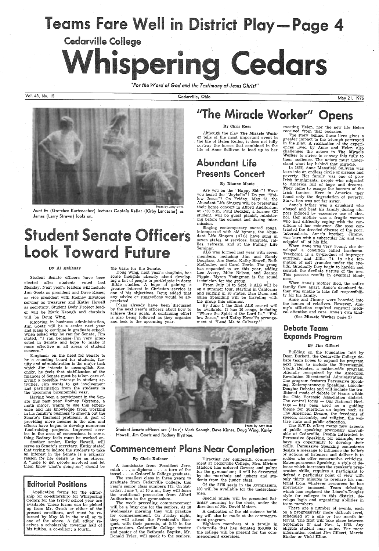# Teams Fare Well in District Play—Page 4

Cedarville College<br>Whispering Cedars

*"For the Word of God and the Testimony of Jesus Christ"* 

Vol. 43, No. 15 Cedarville, Ohio May 21, <sup>1975</sup>

#### By Chris Rees

Photo by Jerry Ditto Aunt Ev (Gretchen Kurtenaeher) lectures Captain Keller (Kirby Lancaster) as James (Larry Strawn) looks on.

# tudent Senate Officers k Toward Future

Although the play The Miracle Worker tells of the most important event in the life of Helen Keller, it does not fully portray the forces that combined in the life of. Anne Sullivan to lead up to her

# Abundant Life Presents Concert

#### By Dianne Monts

Are you on the "Happy Side"? Have you heard the "Joybells"? Do you "Follow Jesus"? On Friday, May 23, the Abundant Life Singers will be presenting their home concert in Alford Auditorium at 7:30 p.m. Paul Beckler, a former CC student, will be guest pianist, ministering before the concert and during inter-1nission.

#### By AI Halladay

Student Senate officers have been elected after students voted last Monday. Next year's leaders will include Jim Goetz as president and Dave Kisner as vice president with Rodney Blystone serving as treasurer and Kathy Howell as secretary. Student Body Project leader will be Mark Keough and chaplain will be Doug Wing.

Majoring in business administration, Jim Goetz will be a senior next year and plans to continue in graduate school. When asked why he ran for Senate, Jim stated, "I ran because I'm very inter ested in Senate and hope to make it more effective in all areas of student concern.''

\_

Emphasis on the need for Senate to be a sounding board for students, faculty and administration is the major task which Jim intends to accomplish. Secondly, he feels that stabilization of the finances of Senate must be taken care of. Eying a possible interest in student activities, Jim wants to get involvement and participation from the students in the upcoming bicentennial year.

Singing contemporary sacred songs, interspersed with old hymns, the Abundant Life Singers (ALS) have sung in seven states, at services, banquets, rallies, retreats, and at the Family Life Seminar.

ALS was formed last year with seven members, including Jim and Randy Douglass, Jim Goetz, Kathy Howell, Ruth McCauley, and Carol Towle. The group<br>has expanded to ten this year, adding Lee Avery, Mike Nelson, and Jeanne<br>Pippin. Myron Youngman is the sound technician for the group.

Having been a participant in the Senate this past year Rodney Blystone, <sup>a</sup> math major, wants to use this experi-<br>ence and his knowledge from working in his family's business to smooth out the Senate's financial problems. A goal of providing more income is the aim and fund-raising projects. Improved service in the area of concessions is something Rodney feels must be worked on. Another senior, Kathy Howell, will serve as Senate's secretary. Kathy stated that trying to induce the students to take an interest in the Senate is a primary reason for her desire to be an officer. A "hope to get people involved and let

Student Senate officers are (I to r): Mark Keough, Dave Kisner, Doug Wing, Kathy Howell, Jim Goetz and Rodney Blystone.

# **Commencement Plans Near Completion**

A handshake from President Jeremiah . . . a diploma . . . a turn of the tassel . . . a Cedarville College graduate.

them know what's going .on" should be

### Editorial Positions

Application forms for the editorship (or co-editorship) for Whispering Cedars for the 1975-76 school year are available. These forms can be picked up from Mr. Grosh or either of the present co-editors, and must be returned by May 28 in the mail or to one of the above. A full editor receives a scholarship covering half of his tuition, a co-editor; a fourth.

#### the basis for the Senate.

Doug Wing, next year's chaplain, has some thoughts already about develop ing a list of people to participate in dorm Bible studies. A hope of gaining a greater interest in Christian service is one of his objectives. Doug added that any advice or suggestions would be ap preciated.

Plans already have been discussed by the next year's officers about how to achieve their goals. A continuing effort is also being followed as they organize and look to the upcoming year.

# "The Miracle Worker" Opens

When Anne's mother died, the entire family flew apart. Anne's drunkard father was unable to take full responsibility for his family.

### Debate Team Expands Program

Building on the foundation laid by Dean Burkett, the Cedarville College debate team hopes to expand its program next year to include the Bicentennial Youth Debates, a nation-wide program officially recognized by the American Revolution Bicentennial Administration. The program features Persuasive Speaking, Extemporaneous Speaking, Lincoln-Douglas Debates and will include the traditional mode of debate by teams within the Ohio Forensic Association district.<br>The central focus — Our National Heri-

From July 14 to Sept. 2 ALS will be on a summer tour, starting in California and singing in 20 states. Dan Dunn and Ellen Spaulding will be traveling with the group this summer.

> tage -- has been used as a guiding theme for questions on topics such as The American Dream, the freedoms of speech, assembly, and religion, the wel fare state and public education.

By June 1 the first ALS record will be available. It has  $10$  songs, including low Jesus," and Kathy Howell's arrangement of "Lead Me to Calvary."



Photo by Amy Ross

#### By Chris Rufener

The smallest class in three years to graduate from Cedarville College, this year's senior class numbers 175. On Saturday, June 7, at 10 a.m., they will form the traditional procession from Alford Auditorium to the gymnasium.

The week preceding commencement will be a busy one for the seniors. At 10 Wednesday morning they will practice for commencement. On Friday night, they will attend the President's Banquet, with their parents, at 5:30 in the gymnasium. Cedarville College trustee and pastor of the Bethesda Baptist, Mr. Donald Tyler, will speak to the seniors.

Directing her eighteenth commencement at Cedarville College, Mrs. Miriam Maddox has ordered flowers and palms for the gymnasium; it will be decorated by the marshals and ushers and students from the junior class.

Of the 2175 seats in the gymnasium, 200 will be available for the underclassmen.

Special music will be presented Saturday morning by the choir, under the direction of Mr. David Matson.

A dedication of the old science building will also be made at the commencement program.

Eighteen members of a family in Cedarville that has donated \$50,000 to the college will be present for the commencement exercises.

meeting Helen, nor the new life Helen received from that occasion.

 The story behind these lives gives a greater impact to the triumph portrayed in the play. A realization of the experiences lived by Anne and Helen also challenges the actors in The Miracle Worker to strive to convey this fully to their audience. The actors must understand what lay behind that miracle.

In 1866, Anne Mansfield Sullivan was born into an endless circle of disease and poverty. Her family was one of poor Irish immigrants, people who migrated to America full of hope and dreams. They came to escape the horrors of the Irish famine. Here in America they found only the degradation of poverty. Starvation was not far away.

Anne's father was a drunkard who abused and beat his family during stupors induced by excessive use of alcohol. Her mother was a fragile woman who had difficulty coping with the con-ditions of her existence. She soon contracted the dreaded 'disease of the poor, tuberculosis. Anne's brother, Jimmy, was born with a tubercular hip and was crippled all of his life. ·

When Anne was very young, she developed a condition called trachoma. Trachoma is a by-product of improper<br>nutrition and filth. It is the formation of soft granules under the eyelids. Gradually they begin to harden and scratch the decilate tissues of the eye. This process results in eventual blindness.

Anne. and Jimmy were boarded into the homes of relatives. However, Jimmy's affliction required constant medi-· cal attention and care. Anne's own blnd-

(See Miracle Worker page 2)

#### By lim Gilbert

The B.Y.D. offers many· new aspects of public speaking previously unavailable at Cedarville. People interested in Persuasive Speaking, for example, now have an opportunity to develop their skills. Persuasive Speaking contestants design a message to influence the beliefs or actions of listeners and deliver it to judges who offer constructive criticism. Extemporaneous Speaking, a style of defense which increases the speaker's preparation skills, requires a participant to defend a particular point of view with only thirty minutes to prepare his material from whatever resources he has previously amassed. Team debating, which has replaced the Lincoln-Douglas style for colleges in this district, develops logic and organizing abilities in team members.

There are a number of events, each on a progressively more difficult level, scheduled at a one or two month interval. The first will take place between September 27 and Nov. 1, 1975. Any eligible student may enter. For more information contact Jim Gilbert, Marcia Binder or Vicki Kline.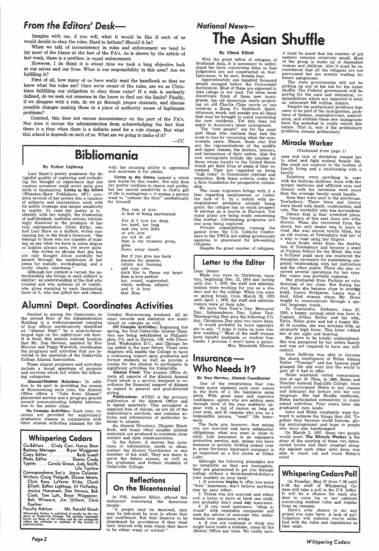# *From the Editors' Desk-*

Imagine with me, if you will, what it would be like if each of us would decide to obey the rules. Hard to fathom? Should it be?

When we talk of inconsistency in rules and enforcement we tend to lay most of the blame at the feet of the PA's. As is shown by the article of last week, there is a problem in equal enforcement.

However, I do think it is about time we took a long objective look at our selves and our lives. What is our responsibility in this area? Are we . fulfilling it?

First of all, how many of us have really read the handbook so that we know what the rules are? Once we're aware' of the rules, are we as Christians fullfilling our obligation to obey those rules? If a rule is unclearly defined, do we seek out someone in the know to find out the limits? Finally, if we disagree with a rule, do we go through proper channels, and discuss possible changes making those in a place of authority aware of legitimate problems?

Granted, this does not excuse inconsistency on the part of the PA's. Nor does it excuse the administration from acknowledging the fact that there is a time when there is a definite need for a rule change. But what this school is depends on each of us. What are we going to make of it?

 $-CC$ 

# $B_{\text{y}}$   $\text{B}_{\text{y}}$   $\text{E}_{\text{z}}$   $\text{E}_{\text{y}}$   $\text{E}_{\text{z}}$   $\text{E}_{\text{y}}$   $\text{E}_{\text{z}}$   $\text{E}_{\text{z}}$   $\text{E}_{\text{y}}$   $\text{E}_{\text{z}}$   $\text{E}_{\text{y}}$   $\text{E}_{\text{z}}$   $\text{E}_{\text{y}}$   $\text{E}_{\text{z}}$   $\text{E}_{\text{z}}$   $\text{E}_{\text{y}}$   $\text{E}_{\text{z}}$   $\text$

Luci Shaw's poetry possesses the de-<br>lightful quality of capturing and embodying the thought or experience that her readers somehow could never quite give birth to themselves. Listen to the Green (Wheaton:Shaw Publishers, 1971) com<sup>p</sup>iles several of her poems into a rainbow of subjects and impressions, each with its subtle message and unique sensitivity identify with her insight, the frustration of half-finished, ineffable notions refreshingly dissolves in the presence of her had Luci Shaw as a student, writes concerning her in the book's foreword: "She ing us see what we have in some degree or fashion always seen, yet never quite. . . . She writes no phrase that she has passed through the needle-eye of her sense for melody, word-shaping, and a lovely chaste exactness."

Although her content is varied, the understanding she brings to each subject is similar: an understanding of the God who who gives meaning to each fascinating facet of it, who has gifted her and others

Listen to the Green opened a whole<br>new world for this reader. Not only does her poetry continue to charm and soothe,<br>but her sacred sensitivity to God's gift of life is contageous — it makes a person want to "redeem the time" aesthetically for himself.

These alumni programs and activities<br>include a broad spectrum of projects and services which fall within the following categories:

On Campus Activities: Each year, re- unions are provided for anniversary graduation classes in conjunction with other alumni activities planned for the

Whispering Cedars Co-Editors .. Cindy Carr, Nancy Dear Business Manager ... Bryan Waggoner Copy Editor ............ Barb Loach Photo Editor . . . . . . . . . Dennis Crady Typists .... Carole Green, Judy Smith, Lila Tuerlow Correspondence Sec'y Joyce Coleman Writers: Craig Vielguth, Dianne Monts, Chris Rees, LaVerne Kirby, Chuck Elliott, Esther Lightcap, Al Halladay, Jessica Huesmann, Dan Stevens, Bob Cook, Tom Lutz, Bryan Waggoner, Bob Winward, Jim · Gilbert, Chris Ruefner

Faculty Advisor .... Mr. Ronald Grosh The state of the state is published bi-weekly by the studies.<br>
Whispering Cedars is published bi-weekly by the studies<br>
dents of Cedarville College. The opinions expressed<br>
neterin are those of the writers and do not neces

October Homecoming weekend. All alumni records and statistics are maintained on campus as well.

and incarnate it for others.

Alumni Fund: The Alumni Office directs all aspects of the Alumni Annual Fund which is a service designed to co-<br>ordinate the financial support of Alumni<br>in regard to general and goal-directed

The risk of love is that of being unreturned For if I love too deep, too hard, too long and you love little or you love me not at all then is my treasure given, gone flown away lonely.

giving.<br>**Publications:** AVISO is the primary publication of the Alumni Office and is issued quarterly. This newssheet is supplied free of charge, as are all of the Association's services, and contains articles and information .of particular in-

terest to alumni. book, and many other smaller printed materials are produced to maintain close contact and open communication.<br>In the future, if anyone has ques-

But if you give me back passion for passion, return my burning, add your own dark fire to flame my heart<br>then is love perfect hot, round, augmented, whole, endless, infinite; and it is fear .. that flies.

tions or information, needs or ideas, contact the Alumni Coordinator or any member of his staff. They are there to serve the future alumni, as well as the graduates and former students of Cedarville College.

## Reflections **On the Bicentennial**

# Alumni Dept. Coordinates Activities

# *National* News-**The Asian Shuffle**

Nestled in among the classrooms on the second floor of the Administration Building is a well-compacted complex of four offices unobtrusively identified as "Alumni Dept." by a soon-to-be-enlarged sign on the eighty-year old door. It is from this seldom noticed location<br>that Mr. Dan Stevens, assisted by Bev Morrow and Peggy Warwick, coordinates the programs and activities that are involved in the operation of the Cedarville College Alumni Association.

With the great influx of refugees of Southeast Asia, it is necessary to under-<br>stand the facts concerning them so that judgments are not constructed on fear. Ignorance, to be sure, breeds fear.

Alumni/Student Relations: In addition to its part in providing the events<br>of Homecoming each year, the Alumni<br>Office offers a "Jobs from Alumni" <sup>p</sup>lacement service and <sup>a</sup>program geared toward communicating helpful informa- tion to the senior class.

While you were on Christmas vaca-<br>tion, beginning Dec. 12, 1974 and lasting until Jan. 7, 1975, the staff and adminis-<br>trators were working for you as a student and for the college. While you were on spring break, from March 20, 1975 until April 1, 1975, the staff and administrators were at their jobs.

We have New Year's Day, Memorial<br>Day, Independence Day, Labor Day, Thanksgiving Day plus the following Fri-<br>day, Christmas Day plus two more days.

It would probably be more appropriate to say, "I hope it rains on your window washing." Most of the staff women have faculty husbands or student husbands. I promise I won't have a picnic. Mrs. Marabeth Elmore

# Insurance-Who Needs It?

One of the temptations that con fronts many students each year comes in the form of a life insurance sales<br>pitch. With great ease and supreme confidence, agents who are seldom seen hrough most of the  ${\bf v}$ pear with a list of names as long as your arm, and 27 reasons why you, as a responsible person, "need" life 'insurance. The facts are, however, that unless you are married and have substantial obligations, what you need is close to<br>zilch. Life insurance is an expensive protective service, and, unless you have someone to protect, forking money over to some far-away insurance company is as important as a fire alarm at Cedar<br>Lake.

Page2

2. Unless you are married and either own a home or have at least one child you probably don't need any insurance.<br>3. If you need insurance, "shop a-

round" with reputable companies and seek the advice of someone who understands how insurance works.

4. If you are confused or think you<br>might have made a mistake, come by the Alumni Office any time. We really care.

Anne and Helen constantly went for-<br>ward to achieve the things they did. Together they became world famous, giv-<br>ing encouragement and hope to people<br>who were also handicapped.<br>On March 2, 1887, these two people

Off Campus Activities: Beginning this spring, the first Cedarville Alumni Chapters are being established in Philadelphia, PA, and in Dayton, OH, with Cleveland, Washington D.C., and Chicago be- ing added in the near future. These area chapters will enable the College to have <sup>a</sup>continuing impact upon graduates and former students as well as provide <sup>a</sup> means for the Alumni to participate in significant activities for Cedarville.

The state governments will not be picking up any of the tab for the Asian shuffle. The Federal government will be paying for the care and relocation, responsibilities which are expected to total an estimated 500 million dollars.

Despite the preliminary problems that<br>seem to be part of the immigration, problems of finance, unemployment, assimilation, and attitude these new immigrants have the potential to really enrich this nation. That is, only if the preliminary problems remain preliminary.

with the Sullivan children. Anne with her temper tantrums and afflicted eyes and Jimmy with his lameness were more than the average family could handle.

Soon they were sent to the poorhouse, Tewlesbury. There Anne and Jimmy were faced with death, cockroaches, and rats. The mortality rate was horrendous.<br>Jimmy died in that wretched place.

The trauma of this sent Anne into withdrawal. When she recovered from the shock, her only desire was to learn to read. She was almost totally blind, but an old woman at Tewlesbury told her of a way to read using her fingers.

She graduated from Perkins as valedictorian of her class. But during her stay there she became close to another pupil, Laura Bridgman. Laura was a deaf, blind woman whom Mr. Howe taught to communicate through a spe-<br>cial language, touch.

In 1765, Andrew Elliot, offered this statement concerning the American people:

"A people may be deceived, they may be betrayed by men in whom they put confidence. But they deserve to be abandoned by providence if they trust their interest with men whom they know to be either weak or wicked."

Although the following principles are<br>as simplistic as they are incomplete, they are guaranteed to get you through college without a three-hundred-dollar-a year monkey on your back:<br>1. If someone begins to offer you some

"free" insurance, don't believe anything else he says either.

Helen mastered verbal communication at age 16. Then, in 1900, Helen and Teacher entered Radcliffe College. Anne would accompany Helen to her classes and interpret the lecture into her own language. She had Braille textbooks. Helen participated extensively in many school activities. Four years later she graduated cum laude.

#### By Chuck Elliott

would meet. The Miracle Worker is the story of the meeting of these two determined forces and their constant strug gle against each other until Anne was able to reach out and touch Helen's mind.

Approximately one hundred thousand people escaped before the Communist<br>domination. Most of these are expected to take refuge in our land. Yet when most Americans think of these new immigrants, the old stereotype starts projecting an old Charlie Chan movie or one receives a Kung Fu flashback. Quiet, infamous, meek, and sneaky are all ideas that may be brought to mind concerning the new residents. Yet·. this does not apply to America's latest immigrants. The "new people" are for the most

> Here's your chance to air any<br>gripes you may have. A lack of participation will indicate you're satisfied with the rules and regulations as they exist .

part those who realized they had the most to lose by remaining when the communists came. Hence, those. who fled are the representatives of the middle<br>and upper classes, the doctors, lawyers, and technicians of their nation. Also the new immigrants include the number of those whose loyalty to the United States<br>would put their lives at stake if they remained. They are regarded as being<br>"high risks" to Communist reprisal and execution. Both these criteria make for a firm foundation for prospective citizenship. .

The mass migration brings with it <sup>a</sup> fear regarding employment, or rather the lack of it. In a nation with unemployment problems, already being great, the refugee has as much prospect of success as a moron in Harvard. Yet many plans are being made concerning<br>this matter. Job-training programs are one area being explored.

Private organizations running the gamut from the U.S. Catholic Conference to the YWCA are aiding government agencies in placement for job-seeking refugees.

Despite the great number of refugees,

### Letter to the **Editor**

Dear Duane:

#### By Dan Stevens, Alumni Coordinator

it must be noted that the number of job seekers remains relatively small. Most . of the group is made up of dependent women and children. Also it must be remembered that all the refugees are not permanent but are merely waiting for future assignment.

### Miracle Worker

(Continued from page 1)

ness and lack of discipline caused her She could not conform to the routine of family living and a relationship with <sup>a</sup>family.

Anne broke away from the destitution of Tewlesbury and became a pupil at Perkins School for the Blind. She was <sup>a</sup>brilliant pupil onoe she mastered the discipline necessary for maintaining con genial relationships with her instructors and the other pupils. There she also received several operations for her eyes. Her vision was partially restored.

In Tuscumbia, Alabama, June 27, 1880, a happy, normal child was born to Captain Arthur Keller and his wife Katie. Helen grew and led a happy life'. At 19 months, she was stricken with an unusually high fever. This fever robbed her of her sight and hearing.

She was pampered by her entire family and was not required to have any self- control.

Anne Sullivan was able to harness the sharp intelligence of Helen Adams<br>Keller. "Teacher" and her famous pupil grasped life and went into the world to gain all it had to offer.



On Tuesday, May 27 from 7:30 until<br>9:30 the staff of Whispering Cedars will take a poll in the C.S. lobby.<br>It will be a chance for each stu-<br>dent to voice his or her opinions concerning student rules and regula-<br>tions on campus.

*Whispering Cedars*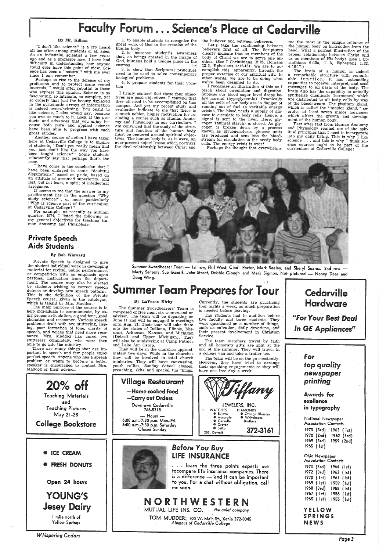# Faculty Forum... Science's Place at Cedarville

#### By Mr. Killian

"I don't like science" is <sup>a</sup>cry heard all too often among students of all ages. As an industrial scientist a few years ago and as a professor now, I have had<br>difficulty in understanding how anyone could ever have this point of view. Science has been a "natural" with me ever since I can remember.

Perhaps to rise to the defense of my · Perhaps to rise to the defense of my profession and to protect some vested interests, I would offer rebuttal to those who express this opinion. Science is so fascinating, so intricate, so. complex, yet in the systematic arrays of information<br>is indeed overwhelming. You ought to<br>like science, I also would say, because<br>you owe so much to it. Look at the products and advances that you enjoy be-<br>cause both pure and applied science have been able to progress with such great strides.

 I have come to the conclusion that I have been engaged in some "doubtful disputations" based on pride, based on an attitude of assumed superiority, and last, but not least, <sup>a</sup>spirit of intellectual arrogance.<br>It seems to me that the answer to my

predicament lies in the question "Why study science?", or more particularly "Why is science part of the curriculum at Cedarville College?"

Another course of action I have taken here at Cedarville College is to inquire of students, "Don't you really mean that you just don't like the way you have been taught science?" Some students reluctantly say that perhaps that's the case.

Private Speech is designed to give the student individual work in developing material for recital, public performance, or competition with an emphasis upon personal instruction from the depart-<br>ment. The course may also be elected by students wishing to correct speech defects or develop new speech patterns. This is the definition of the Private Speech course, given in the, catalogue, which is taught by Mrs. Maddox. The main purpose of the course is to

help individuals to communicate, by us-<br>ing proper articulation, a good tone, good<br>phonation and resonance. Various speech problems dealt with are stuttering, lisp-<br>ing, poor formation of tone, clarity of<br>speech, and voices that need more resonance. Mrs. Maddox has cured two stutterers completely, who were then able to go into the ministry. There are many things that are im-

There are many things that are important in speech and few people enjoy perfect speech. Anyone who has a speech problem or wants to become a better speaker is encouraged to contact Mrs. Maddox or their advisor.

# $20\%$  off Teaching Materials

For example, as recently as autumn quarter, 1974, I listed the following as my general objectives for teaching Human Anatomy and Physiology:

<sup>I</sup>firmly contend that these four objec- tives are good objectivles. I contend that they all need to be accomplished on this campus. And yet my recent study and evaluation indicate to me that there is <sup>a</sup>much nobler, higher motivation for in- cluding <sup>a</sup>course such as Human Anatomy and Physiology in our curriculum. I am convinced that the study of the struc-<br>ture and function of the human body must be centered around spiritual objec-<br>tives. The human body is, as it were, an<br>ever-present object lesson which portrays

the believer and between believers.

### Private Speech Aids Students

#### By Bob Winward

Let's take the relationship between believers first of all. The Scriptures clearly indicate that as members of the body of Christ we are to serve one another. (See I Corinthians 12:25, Romans 12:5, Ephesians 4:12-16). We are to accomplish this, apparently, through the<br>proper exercise of our spiritual gift. In other words, we are to be doing what we've been designed to do.

I recognize an illustration of this as I Suppose our blood sugar level drops be-<br>low normal (hypoglycemia). Practically<br>all the cells of our body are in danger of<br>running out of fuel (a veritable energy<br>crisis). The blood needs a supply of glu-<br>cose to circulate cose to circulate to body cells. Hence, a<br>signal is sent to the liver. Here, glycogen (animal starch) is stored. As glycogen is broken down by a process known as glycogenolysis, glucose units are produced and sent into the bloodstream for circulation to the needy body cells. The energy crisis is over!

me the most is the unique reliance of the human body on instruction from the head. What a perfect illustration of the proper relationship between Christ and<br>us as members of His body! (See I Co- $\n *in this* 6:15a, 11:3, *Ephesians* 1:22, 4:16-17.)\n$ 

The brain of a human is indeed a remarkable structure with remarkable function. It has  $_$  astounding capacities to receive, interpret, and send<br>messages to all parts of the body. The brain also has the capability to actually synthesize chemicals (hormones) which are distributed to all body cells by way of the bloodstream. The pituitary gland, which is called the "master gland," se-<br>cretes at least seven major hormones which affect the growth and development of the human body.<br>Fact after fact from Human Anatomy

and Phyisology remind me of the spiritual principles that I need to incorporate into my daily living. This is why I like science ... and this is why I think science courses ought to be part of the

1. to enable students to recognize the great work of God in the creation of the human body

2. to increase student's awareness that, as beings created in the image of God, humans hold a unique place in the  $cosmos$ 

The Summer Swordbearers' Team is composed of five men, six women. and an advisor. The team will be departing on June 11 and will be engaged in meetings until Aug. 21. Their tour will take them into the states of Indiana, Illinois, Mis- Out (Detroit and Upper Michigan). They will also be ministering at Camp Patmos and Lake Ann Camp. They will be in the churches approximately two days. While in the churches

3. to show that Scriptural principles need to be used to solve contemporary biological problems

4. to prepare students for their voca-tion

they will be involved in total church ministries. They will have canvassing, youth rallies, Sunday School classes, preaching, skits and special fun things.

# Cedarville Hardware

<sup>11</sup>For Your Best *Deal In GE Appliances"* 



Marty Senseny, Sue Gazdik, John Street, Debbie Clough and Mark Sigmon. Not pictured — Nancy Dear and<br>Doug Wing.

# **Summer Team Prepares for Tour**



#### By Laverne Kirby

Currently, the students are practicing four nights a week, as much preparation is needed before leaving.

The students had to audition before five faculty and three students. They were questioned on a number of things, such as salvation, daily devotions, and their present involvement in Christian Service.

The team members travel by faith and all honorary gifts are split at the end of the summer. They will travel in <sup>a</sup>college van and take a trailer too.

The team will be on the go constantly. However, they have tried to arrange their speaking engagements so they will have one free day a week.

for top quality *newspaper* 

*Page3*